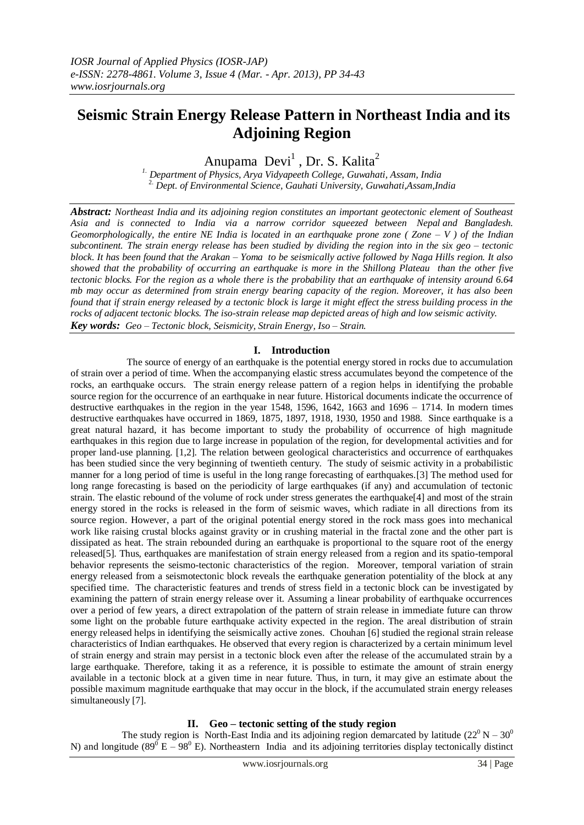# **Seismic Strain Energy Release Pattern in Northeast India and its Adjoining Region**

Anupama Devi<sup>1</sup>, Dr. S. Kalita<sup>2</sup>

*1. Department of Physics, Arya Vidyapeeth College, Guwahati, Assam, India* 2. *Dept. of Environmental Science, Gauhati University, Guwahati,Assam,India*

*Abstract: Northeast India and its adjoining region constitutes an important geotectonic element of Southeast Asia and is connected to [India](http://en.wikipedia.org/wiki/East_India) via a narrow corridor squeezed between [Nepal](http://en.wikipedia.org/wiki/Nepal) and [Bangladesh.](http://en.wikipedia.org/wiki/Bangladesh) Geomorphologically, the entire NE India is located in an earthquake prone zone ( Zone – V ) of the Indian subcontinent. The strain energy release has been studied by dividing the region into in the six geo – tectonic block. It has been found that the Arakan – Yoma to be seismically active followed by Naga Hills region. It also showed that the probability of occurring an earthquake is more in the Shillong Plateau than the other five tectonic blocks. For the region as a whole there is the probability that an earthquake of intensity around 6.64 mb may occur as determined from strain energy bearing capacity of the region. Moreover, it has also been found that if strain energy released by a tectonic block is large it might effect the stress building process in the rocks of adjacent tectonic blocks. The iso-strain release map depicted areas of high and low seismic activity. Key words: Geo – Tectonic block, Seismicity, Strain Energy, Iso – Strain.*

# **I. Introduction**

 The source of energy of an earthquake is the potential energy stored in rocks due to accumulation of strain over a period of time. When the accompanying elastic stress accumulates beyond the competence of the rocks, an earthquake occurs. The strain energy release pattern of a region helps in identifying the probable source region for the occurrence of an earthquake in near future. Historical documents indicate the occurrence of destructive earthquakes in the region in the year 1548, 1596, 1642, 1663 and 1696 – 1714. In modern times destructive earthquakes have occurred in 1869, 1875, 1897, 1918, 1930, 1950 and 1988. Since earthquake is a great natural hazard, it has become important to study the probability of occurrence of high magnitude earthquakes in this region due to large increase in population of the region, for developmental activities and for proper land-use planning. [1,2]. The relation between geological characteristics and occurrence of earthquakes has been studied since the very beginning of twentieth century. The study of seismic activity in a probabilistic manner for a long period of time is useful in the long range forecasting of earthquakes.[3] The method used for long range forecasting is based on the periodicity of large earthquakes (if any) and accumulation of tectonic strain. The elastic rebound of the volume of rock under stress generates the earthquake[4] and most of the strain energy stored in the rocks is released in the form of seismic waves, which radiate in all directions from its source region. However, a part of the original potential energy stored in the rock mass goes into mechanical work like raising crustal blocks against gravity or in crushing material in the fractal zone and the other part is dissipated as heat. The strain rebounded during an earthquake is proportional to the square root of the energy released[5]. Thus, earthquakes are manifestation of strain energy released from a region and its spatio-temporal behavior represents the seismo-tectonic characteristics of the region. Moreover, temporal variation of strain energy released from a seismotectonic block reveals the earthquake generation potentiality of the block at any specified time. The characteristic features and trends of stress field in a tectonic block can be investigated by examining the pattern of strain energy release over it. Assuming a linear probability of earthquake occurrences over a period of few years, a direct extrapolation of the pattern of strain release in immediate future can throw some light on the probable future earthquake activity expected in the region. The areal distribution of strain energy released helps in identifying the seismically active zones. Chouhan [6] studied the regional strain release characteristics of Indian earthquakes. He observed that every region is characterized by a certain minimum level of strain energy and strain may persist in a tectonic block even after the release of the accumulated strain by a large earthquake. Therefore, taking it as a reference, it is possible to estimate the amount of strain energy available in a tectonic block at a given time in near future. Thus, in turn, it may give an estimate about the possible maximum magnitude earthquake that may occur in the block, if the accumulated strain energy releases simultaneously [7].

# **II. Geo – tectonic setting of the study region**

The study region is North-East India and its adjoining region demarcated by latitude  $(22^0 N - 30^0)$ N) and longitude (89<sup>0</sup> E – 98<sup>0</sup> E). Northeastern India and its adjoining territories display tectonically distinct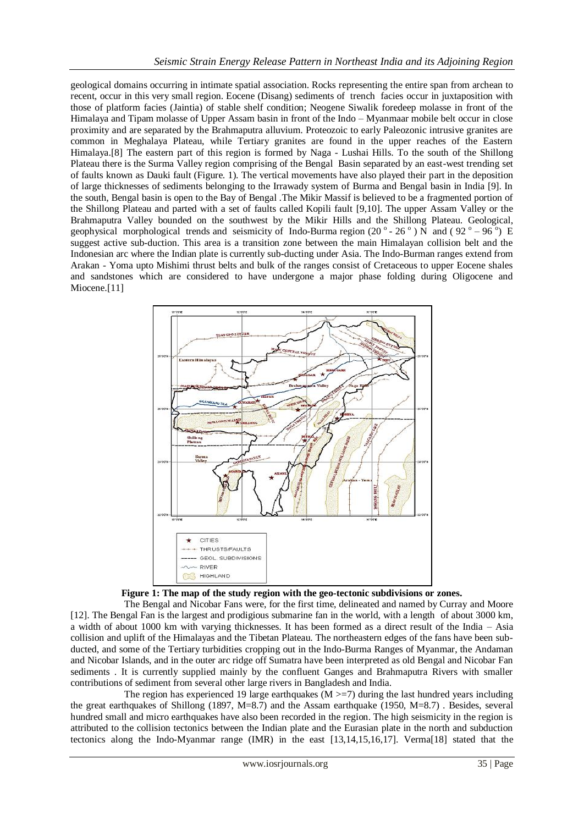geological domains occurring in intimate spatial association. Rocks representing the entire span from archean to recent, occur in this very small region. Eocene (Disang) sediments of trench facies occur in juxtaposition with those of platform facies (Jaintia) of stable shelf condition; Neogene Siwalik foredeep molasse in front of the Himalaya and Tipam molasse of Upper Assam basin in front of the Indo – Myanmaar mobile belt occur in close proximity and are separated by the Brahmaputra alluvium. Proteozoic to early Paleozonic intrusive granites are common in Meghalaya Plateau, while Tertiary granites are found in the upper reaches of the Eastern Himalaya.[8] The eastern part of this region is formed by Naga - Lushai Hills. To the south of the Shillong Plateau there is the Surma Valley region comprising of the Bengal Basin separated by an east-west trending set of faults known as Dauki fault (Figure. 1). The vertical movements have also played their part in the deposition of large thicknesses of sediments belonging to the Irrawady system of Burma and Bengal basin in India [9]. In the south, Bengal basin is open to the Bay of Bengal .The Mikir Massif is believed to be a fragmented portion of the Shillong Plateau and parted with a set of faults called Kopili fault [9,10]. The upper Assam Valley or the Brahmaputra Valley bounded on the southwest by the Mikir Hills and the Shillong Plateau. Geological, geophysical morphological trends and seismicity of Indo-Burma region  $(20^\circ - 26^\circ)$  N and  $(92^\circ - 96^\circ)$  E suggest active sub-duction. This area is a transition zone between the main Himalayan collision belt and the Indonesian arc where the Indian plate is currently sub-ducting under Asia. The Indo-Burman ranges extend from Arakan - Yoma upto Mishimi thrust belts and bulk of the ranges consist of Cretaceous to upper Eocene shales and sandstones which are considered to have undergone a major phase folding during Oligocene and Miocene.<sup>[11]</sup>





 The Bengal and Nicobar Fans were, for the first time, delineated and named by Curray and Moore [12]. The Bengal Fan is the largest and prodigious submarine fan in the world, with a length of about 3000 km, a width of about 1000 km with varying thicknesses. It has been formed as a direct result of the India – Asia collision and uplift of the Himalayas and the Tibetan Plateau. The northeastern edges of the fans have been subducted, and some of the Tertiary turbidities cropping out in the Indo-Burma Ranges of Myanmar, the Andaman and Nicobar Islands, and in the outer arc ridge off Sumatra have been interpreted as old Bengal and Nicobar Fan sediments . It is currently supplied mainly by the confluent Ganges and Brahmaputra Rivers with smaller contributions of sediment from several other large rivers in Bangladesh and India.

The region has experienced 19 large earthquakes  $(M \ge 7)$  during the last hundred years including the great earthquakes of Shillong (1897, M=8.7) and the Assam earthquake (1950, M=8.7) . Besides, several hundred small and micro earthquakes have also been recorded in the region. The high seismicity in the region is attributed to the collision tectonics between the Indian plate and the Eurasian plate in the north and subduction tectonics along the Indo-Myanmar range (IMR) in the east [13,14,15,16,17]. Verma[18] stated that the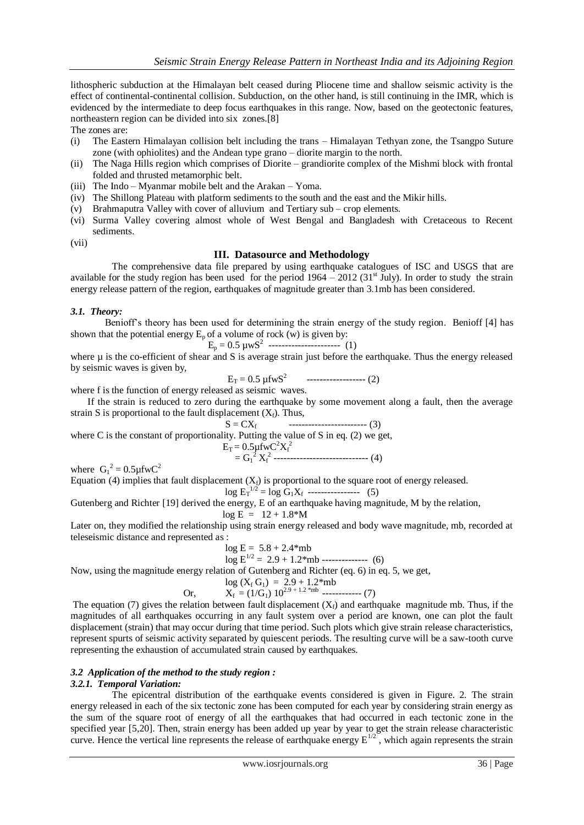lithospheric subduction at the Himalayan belt ceased during Pliocene time and shallow seismic activity is the effect of continental-continental collision. Subduction, on the other hand, is still continuing in the IMR, which is evidenced by the intermediate to deep focus earthquakes in this range. Now, based on the geotectonic features, northeastern region can be divided into six zones.[8]

The zones are:

- (i) The Eastern Himalayan collision belt including the trans Himalayan Tethyan zone, the Tsangpo Suture zone (with ophiolites) and the Andean type grano – diorite margin to the north.
- (ii) The Naga Hills region which comprises of Diorite grandiorite complex of the Mishmi block with frontal folded and thrusted metamorphic belt.
- (iii) The Indo Myanmar mobile belt and the Arakan Yoma.
- (iv) The Shillong Plateau with platform sediments to the south and the east and the Mikir hills.
- (v) Brahmaputra Valley with cover of alluvium and Tertiary sub crop elements.
- (vi) Surma Valley covering almost whole of West Bengal and Bangladesh with Cretaceous to Recent sediments.

(vii)

## **III. Datasource and Methodology**

 The comprehensive data file prepared by using earthquake catalogues of ISC and USGS that are available for the study region has been used for the period  $1964 - 2012$  (31<sup>st</sup> July). In order to study the strain energy release pattern of the region, earthquakes of magnitude greater than 3.1mb has been considered.

#### *3.1. Theory:*

 Benioff's theory has been used for determining the strain energy of the study region. Benioff [4] has shown that the potential energy  $E_p$  of a volume of rock (w) is given by:

$$
E_p = 0.5 \, \mu w S^2 \, \dots \dots \dots \dots \dots \dots \tag{1}
$$

where  $\mu$  is the co-efficient of shear and S is average strain just before the earthquake. Thus the energy released by seismic waves is given by,

 $E_T = 0.5 \text{ µfwS}^2$ ------------------ (2)

where f is the function of energy released as seismic waves.

 If the strain is reduced to zero during the earthquake by some movement along a fault, then the average strain S is proportional to the fault displacement  $(X_f)$ . Thus,

 $S = CX_f$  ------------------------ (3) where C is the constant of proportionality. Putting the value of S in eq. (2) we get,

$$
E_T = 0.5 \mu f w C^2 X_f^2
$$
  
= G<sub>1</sub><sup>2</sup> X<sub>f</sub><sup>2</sup> 3. (4)

where  $G_1^2 = 0.5 \mu \text{fwC}^2$ 

Equation (4) implies that fault displacement  $(X<sub>f</sub>)$  is proportional to the square root of energy released.  $---(5)$ 

$$
\log E_T^{1/2} = \log G_1 X_f \ \cdots
$$

Gutenberg and Richter [19] derived the energy, E of an earthquake having magnitude, M by the relation,

$$
\log E = 12 + 1.8^{\circ}M
$$

Later on, they modified the relationship using strain energy released and body wave magnitude, mb, recorded at teleseismic distance and represented as :

$$
\log E = 5.8 + 2.4 \text{ *mb}
$$
  

$$
\log E^{1/2} = 2.9 + 1.2 \text{ *mb}
$$
 -----\n(6)

Now, using the magnitude energy relation of Gutenberg and Richter (eq. 6) in eq. 5, we get,

$$
\log (X_f G_1) = 2.9 + 1.2^* \text{mb}
$$
  
Or, 
$$
X_f = (1/G_1) 10^{2.9 + 1.2^* \text{mb}}
$$
........(7)

The equation (7) gives the relation between fault displacement  $(X_i)$  and earthquake magnitude mb. Thus, if the magnitudes of all earthquakes occurring in any fault system over a period are known, one can plot the fault displacement (strain) that may occur during that time period. Such plots which give strain release characteristics, represent spurts of seismic activity separated by quiescent periods. The resulting curve will be a saw-tooth curve representing the exhaustion of accumulated strain caused by earthquakes.

# *3.2 Application of the method to the study region :*

#### *3.2.1. Temporal Variation:*

 The epicentral distribution of the earthquake events considered is given in Figure. 2. The strain energy released in each of the six tectonic zone has been computed for each year by considering strain energy as the sum of the square root of energy of all the earthquakes that had occurred in each tectonic zone in the specified year [5,20]. Then, strain energy has been added up year by year to get the strain release characteristic curve. Hence the vertical line represents the release of earthquake energy  $E^{1/2}$ , which again represents the strain curve.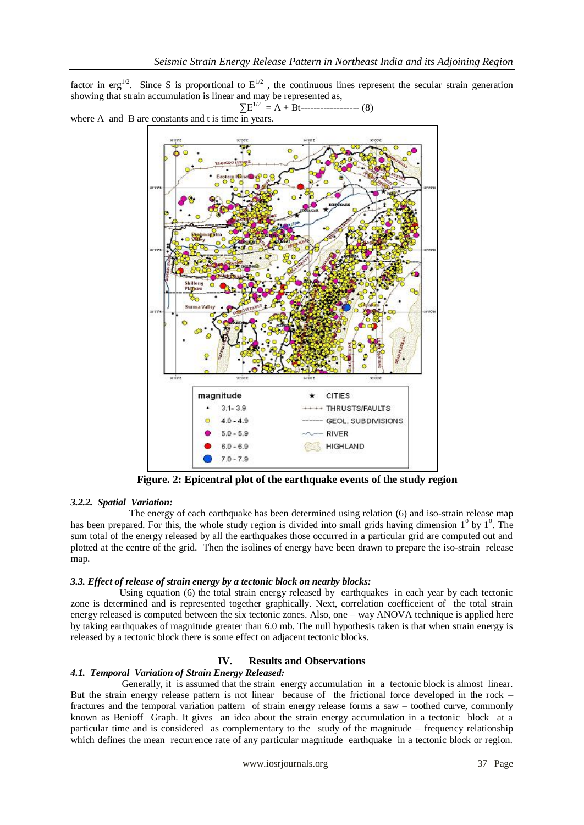factor in erg<sup>1/2</sup>. Since S is proportional to  $E^{1/2}$ , the continuous lines represent the secular strain generation showing that strain accumulation is linear and may be represented as,

∑E1/2 = A + Bt------------------ (8)

where A and B are constants and t is time  $\overline{in}$  years.



 **Figure. 2: Epicentral plot of the earthquake events of the study region**

# *3.2.2. Spatial Variation:*

 The energy of each earthquake has been determined using relation (6) and iso-strain release map has been prepared. For this, the whole study region is divided into small grids having dimension  $1^0$  by  $1^0$ . The sum total of the energy released by all the earthquakes those occurred in a particular grid are computed out and plotted at the centre of the grid. Then the isolines of energy have been drawn to prepare the iso-strain release map.

### *3.3. Effect of release of strain energy by a tectonic block on nearby blocks:*

 Using equation (6) the total strain energy released by earthquakes in each year by each tectonic zone is determined and is represented together graphically. Next, correlation coefficeient of the total strain energy released is computed between the six tectonic zones. Also, one – way ANOVA technique is applied here by taking earthquakes of magnitude greater than 6.0 mb. The null hypothesis taken is that when strain energy is released by a tectonic block there is some effect on adjacent tectonic blocks.

#### **IV. Results and Observations**

#### *4.1. Temporal Variation of Strain Energy Released:*

 Generally, it is assumed that the strain energy accumulation in a tectonic block is almost linear. But the strain energy release pattern is not linear because of the frictional force developed in the rock – fractures and the temporal variation pattern of strain energy release forms a saw – toothed curve, commonly known as Benioff Graph. It gives an idea about the strain energy accumulation in a tectonic block at a particular time and is considered as complementary to the study of the magnitude – frequency relationship which defines the mean recurrence rate of any particular magnitude earthquake in a tectonic block or region.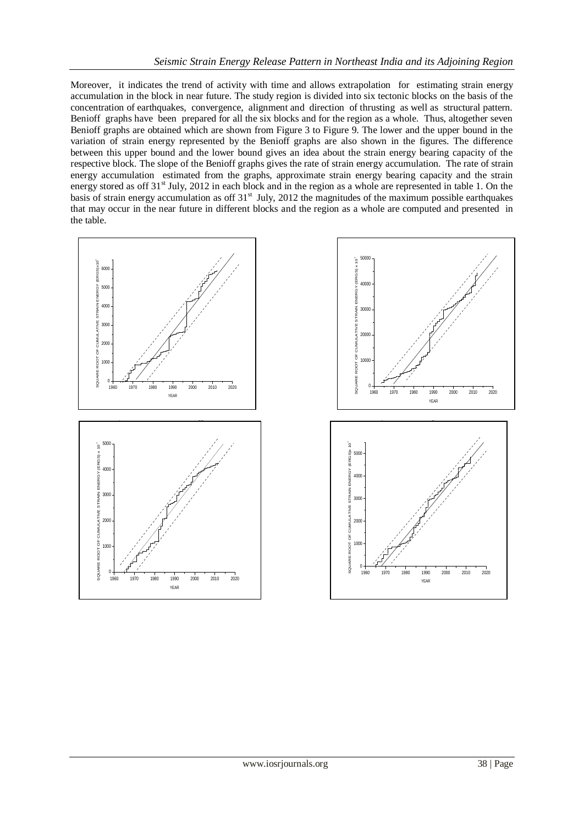Moreover, it indicates the trend of activity with time and allows extrapolation for estimating strain energy accumulation in the block in near future. The study region is divided into six tectonic blocks on the basis of the concentration of earthquakes, convergence, alignment and direction of thrusting as well as structural pattern. Benioff graphs have been prepared for all the six blocks and for the region as a whole. Thus, altogether seven Benioff graphs are obtained which are shown from Figure 3 to Figure 9. The lower and the upper bound in the variation of strain energy represented by the Benioff graphs are also shown in the figures. The difference between this upper bound and the lower bound gives an idea about the strain energy bearing capacity of the respective block. The slope of the Benioff graphs gives the rate of strain energy accumulation. The rate of strain energy accumulation estimated from the graphs, approximate strain energy bearing capacity and the strain energy stored as off 31<sup>st</sup> July, 2012 in each block and in the region as a whole are represented in table 1. On the basis of strain energy accumulation as off 31<sup>st</sup> July, 2012 the magnitudes of the maximum possible earthquakes that may occur in the near future in different blocks and the region as a whole are computed and presented in the table.



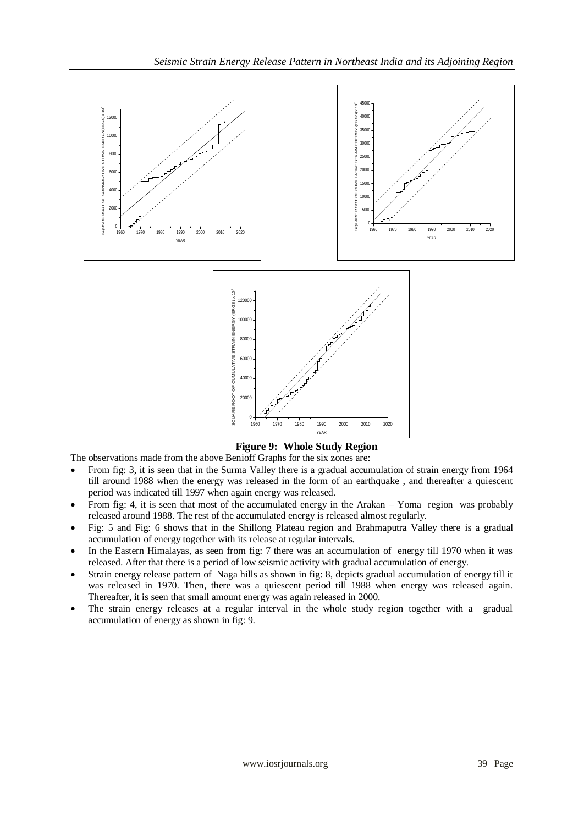

The observations made from the above Benioff Graphs for the six zones are:

- From fig: 3, it is seen that in the Surma Valley there is a gradual accumulation of strain energy from 1964 till around 1988 when the energy was released in the form of an earthquake , and thereafter a quiescent period was indicated till 1997 when again energy was released.
- From fig: 4, it is seen that most of the accumulated energy in the Arakan Yoma region was probably released around 1988. The rest of the accumulated energy is released almost regularly.
- Fig: 5 and Fig: 6 shows that in the Shillong Plateau region and Brahmaputra Valley there is a gradual accumulation of energy together with its release at regular intervals.
- In the Eastern Himalayas, as seen from fig: 7 there was an accumulation of energy till 1970 when it was released. After that there is a period of low seismic activity with gradual accumulation of energy.
- Strain energy release pattern of Naga hills as shown in fig: 8, depicts gradual accumulation of energy till it was released in 1970. Then, there was a quiescent period till 1988 when energy was released again. Thereafter, it is seen that small amount energy was again released in 2000.
- The strain energy releases at a regular interval in the whole study region together with a gradual accumulation of energy as shown in fig: 9.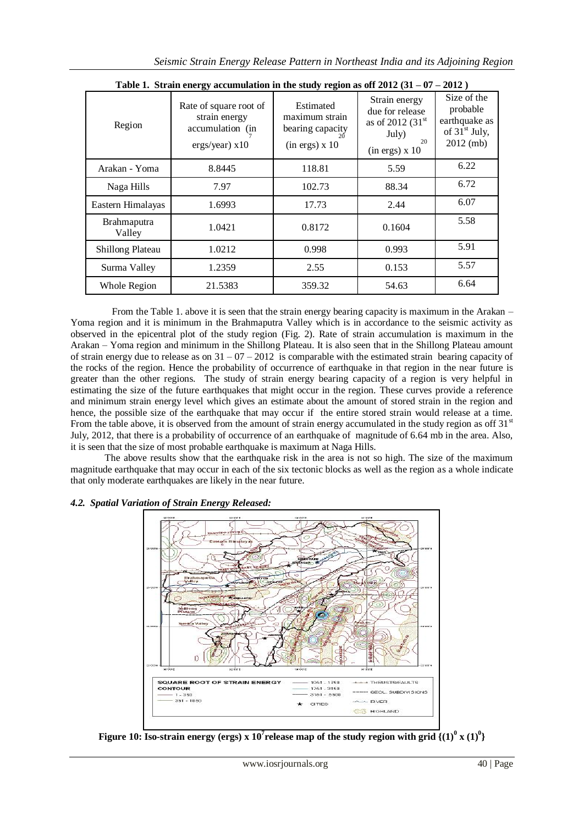| Table 1. Strain energy accumulation in the study region as off $2012(31 - 07 - 2012)$ |                                                                                 |                                                                                |                                                                                                |                                                                            |  |  |  |  |
|---------------------------------------------------------------------------------------|---------------------------------------------------------------------------------|--------------------------------------------------------------------------------|------------------------------------------------------------------------------------------------|----------------------------------------------------------------------------|--|--|--|--|
| Region                                                                                | Rate of square root of<br>strain energy<br>accumulation (in<br>$ergs/year)$ x10 | Estimated<br>maximum strain<br>bearing capacity<br>20<br>$(in ergs) \times 10$ | Strain energy<br>due for release<br>as of 2012 $(31st$<br>July)<br>20<br>$(in ergs) \times 10$ | Size of the<br>probable<br>earthquake as<br>of $31st$ July,<br>$2012$ (mb) |  |  |  |  |
| Arakan - Yoma                                                                         | 8.8445                                                                          | 118.81                                                                         | 5.59                                                                                           | 6.22                                                                       |  |  |  |  |
| Naga Hills                                                                            | 7.97                                                                            | 102.73                                                                         | 88.34                                                                                          | 6.72                                                                       |  |  |  |  |
| Eastern Himalayas                                                                     | 1.6993                                                                          | 17.73                                                                          | 2.44                                                                                           | 6.07                                                                       |  |  |  |  |
| <b>Brahmaputra</b><br>Valley                                                          | 1.0421                                                                          | 0.8172                                                                         | 0.1604                                                                                         | 5.58                                                                       |  |  |  |  |
| <b>Shillong Plateau</b>                                                               | 1.0212                                                                          | 0.998                                                                          | 0.993                                                                                          | 5.91                                                                       |  |  |  |  |
| Surma Valley                                                                          | 1.2359                                                                          | 2.55                                                                           | 0.153                                                                                          | 5.57                                                                       |  |  |  |  |
| Whole Region                                                                          | 21.5383                                                                         | 359.32                                                                         | 54.63                                                                                          | 6.64                                                                       |  |  |  |  |

 From the Table 1. above it is seen that the strain energy bearing capacity is maximum in the Arakan – Yoma region and it is minimum in the Brahmaputra Valley which is in accordance to the seismic activity as observed in the epicentral plot of the study region (Fig. 2). Rate of strain accumulation is maximum in the Arakan – Yoma region and minimum in the Shillong Plateau. It is also seen that in the Shillong Plateau amount of strain energy due to release as on  $31 - 07 - 2012$  is comparable with the estimated strain bearing capacity of the rocks of the region. Hence the probability of occurrence of earthquake in that region in the near future is greater than the other regions. The study of strain energy bearing capacity of a region is very helpful in estimating the size of the future earthquakes that might occur in the region. These curves provide a reference and minimum strain energy level which gives an estimate about the amount of stored strain in the region and hence, the possible size of the earthquake that may occur if the entire stored strain would release at a time. From the table above, it is observed from the amount of strain energy accumulated in the study region as off  $31<sup>st</sup>$ July, 2012, that there is a probability of occurrence of an earthquake of magnitude of 6.64 mb in the area. Also, it is seen that the size of most probable earthquake is maximum at Naga Hills.

 The above results show that the earthquake risk in the area is not so high. The size of the maximum magnitude earthquake that may occur in each of the six tectonic blocks as well as the region as a whole indicate that only moderate earthquakes are likely in the near future.





**Figure 10: Iso-strain energy (ergs) x**  $10^7$ **release map of the study region with grid**  $\{(1)^0 \text{ x } (1)^0\}$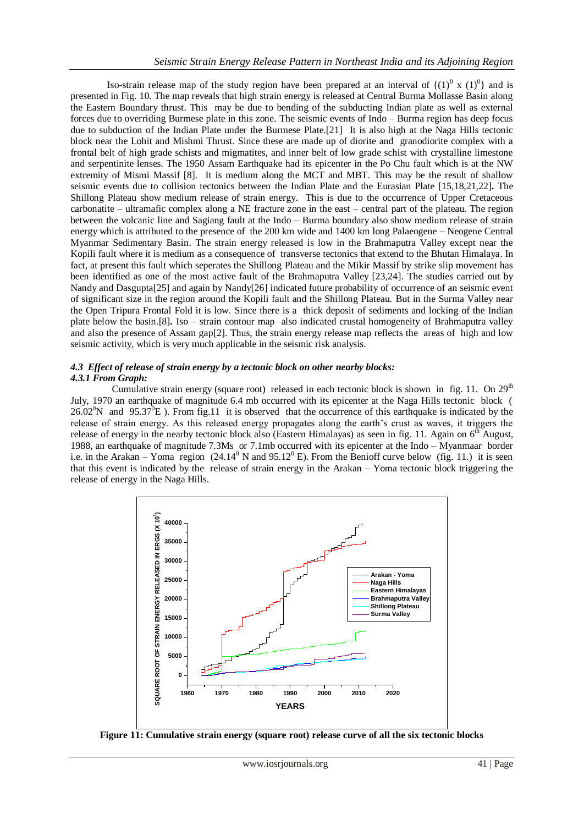Iso-strain release map of the study region have been prepared at an interval of  $\{(1)^0 \times (1)^0\}$  and is presented in Fig. 10. The map reveals that high strain energy is released at Central Burma Mollasse Basin along the Eastern Boundary thrust. This may be due to bending of the subducting Indian plate as well as external forces due to overriding Burmese plate in this zone. The seismic events of Indo – Burma region has deep focus due to subduction of the Indian Plate under the Burmese Plate.[21] It is also high at the Naga Hills tectonic block near the Lohit and Mishmi Thrust. Since these are made up of diorite and granodiorite complex with a frontal belt of high grade schists and migmatites, and inner belt of low grade schist with crystalline limestone and serpentinite lenses. The 1950 Assam Earthquake had its epicenter in the Po Chu fault which is at the NW extremity of Mismi Massif [8]. It is medium along the MCT and MBT. This may be the result of shallow seismic events due to collision tectonics between the Indian Plate and the Eurasian Plate [15,18,21,22]**.** The Shillong Plateau show medium release of strain energy. This is due to the occurrence of Upper Cretaceous carbonatite – ultramafic complex along a NE fracture zone in the east – central part of the plateau. The region between the volcanic line and Sagiang fault at the Indo – Burma boundary also show medium release of strain energy which is attributed to the presence of the 200 km wide and 1400 km long Palaeogene – Neogene Central Myanmar Sedimentary Basin. The strain energy released is low in the Brahmaputra Valley except near the Kopili fault where it is medium as a consequence of transverse tectonics that extend to the Bhutan Himalaya. In fact, at present this fault which seperates the Shillong Plateau and the Mikir Massif by strike slip movement has been identified as one of the most active fault of the Brahmaputra Valley [23,24]. The studies carried out by Nandy and Dasgupta[25] and again by Nandy[26] indicated future probability of occurrence of an seismic event of significant size in the region around the Kopili fault and the Shillong Plateau. But in the Surma Valley near the Open Tripura Frontal Fold it is low. Since there is a thick deposit of sediments and locking of the Indian plate below the basin.[8]**.** Iso – strain contour map also indicated crustal homogeneity of Brahmaputra valley and also the presence of Assam gap[2]. Thus, the strain energy release map reflects the areas of high and low seismic activity, which is very much applicable in the seismic risk analysis.

### *4.3 Effect of release of strain energy by a tectonic block on other nearby blocks: 4.3.1 From Graph:*

Cumulative strain energy (square root) released in each tectonic block is shown in fig. 11. On  $29<sup>th</sup>$ July, 1970 an earthquake of magnitude 6.4 mb occurred with its epicenter at the Naga Hills tectonic block ( 26.02<sup>o</sup>N and 95.37<sup>o</sup>E). From fig.11 it is observed that the occurrence of this earthquake is indicated by the release of strain energy. As this released energy propagates along the earth's crust as waves, it triggers the release of energy in the nearby tectonic block also (Eastern Himalayas) as seen in fig. 11. Again on  $6<sup>th</sup>$  August, 1988, an earthquake of magnitude 7.3Ms or 7.1mb occurred with its epicenter at the Indo – Myanmaar border i.e. in the Arakan – Yoma region  $(24.14^{\circ} N \text{ and } 95.12^{\circ} E)$ . From the Benioff curve below (fig. 11.) it is seen that this event is indicated by the release of strain energy in the Arakan – Yoma tectonic block triggering the release of energy in the Naga Hills.



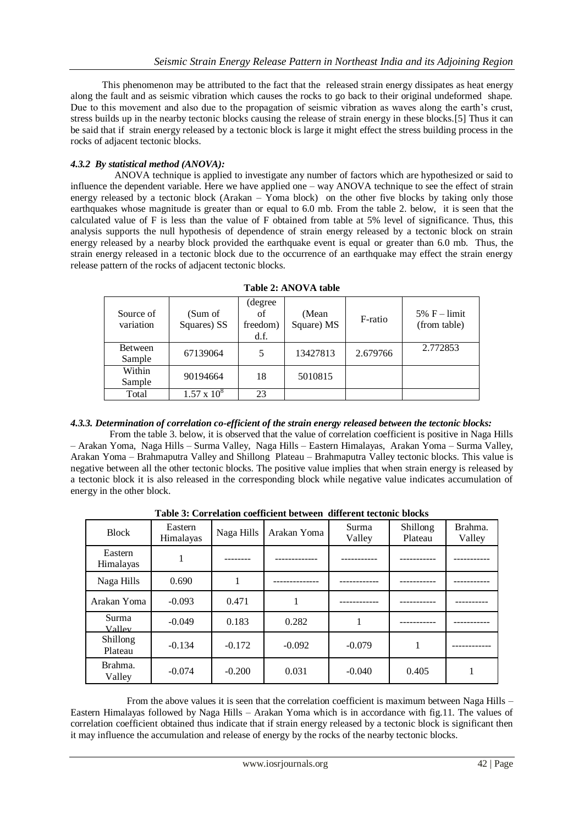This phenomenon may be attributed to the fact that the released strain energy dissipates as heat energy along the fault and as seismic vibration which causes the rocks to go back to their original undeformed shape. Due to this movement and also due to the propagation of seismic vibration as waves along the earth's crust, stress builds up in the nearby tectonic blocks causing the release of strain energy in these blocks.[5] Thus it can be said that if strain energy released by a tectonic block is large it might effect the stress building process in the rocks of adjacent tectonic blocks.

# *4.3.2 By statistical method (ANOVA):*

 ANOVA technique is applied to investigate any number of factors which are hypothesized or said to influence the dependent variable. Here we have applied one – way ANOVA technique to see the effect of strain energy released by a tectonic block (Arakan – Yoma block) on the other five blocks by taking only those earthquakes whose magnitude is greater than or equal to 6.0 mb. From the table 2. below, it is seen that the calculated value of F is less than the value of F obtained from table at 5% level of significance. Thus, this analysis supports the null hypothesis of dependence of strain energy released by a tectonic block on strain energy released by a nearby block provided the earthquake event is equal or greater than 6.0 mb. Thus, the strain energy released in a tectonic block due to the occurrence of an earthquake may effect the strain energy release pattern of the rocks of adjacent tectonic blocks.

| Source of<br>variation | (Sum of<br>Squares) SS | (degree)<br>of<br>freedom)<br>d.f. | (Mean)<br>Square) MS | F-ratio  | $5\%$ F – limit<br>(from table) |
|------------------------|------------------------|------------------------------------|----------------------|----------|---------------------------------|
| Between<br>Sample      | 67139064               | 5                                  | 13427813             | 2.679766 | 2.772853                        |
| Within<br>Sample       | 90194664               | 18                                 | 5010815              |          |                                 |
| Total                  | $1.57 \times 10^8$     | 23                                 |                      |          |                                 |

**Table 2: ANOVA table**

# *4.3.3. Determination of correlation co-efficient of the strain energy released between the tectonic blocks:*

 From the table 3. below, it is observed that the value of correlation coefficient is positive in Naga Hills – Arakan Yoma, Naga Hills – Surma Valley, Naga Hills – Eastern Himalayas, Arakan Yoma – Surma Valley, Arakan Yoma – Brahmaputra Valley and Shillong Plateau – Brahmaputra Valley tectonic blocks. This value is negative between all the other tectonic blocks. The positive value implies that when strain energy is released by a tectonic block it is also released in the corresponding block while negative value indicates accumulation of energy in the other block.

| <b>Block</b>         | Eastern<br>Himalayas | Naga Hills | Arakan Yoma | Surma<br>Valley | Shillong<br>Plateau | Brahma.<br>Valley |
|----------------------|----------------------|------------|-------------|-----------------|---------------------|-------------------|
| Eastern<br>Himalayas |                      |            |             |                 |                     |                   |
| Naga Hills           | 0.690                |            |             |                 |                     |                   |
| Arakan Yoma          | $-0.093$             | 0.471      | л.          |                 |                     |                   |
| Surma<br>Valley      | $-0.049$             | 0.183      | 0.282       |                 |                     |                   |
| Shillong<br>Plateau  | $-0.134$             | $-0.172$   | $-0.092$    | $-0.079$        | 1                   |                   |
| Brahma.<br>Valley    | $-0.074$             | $-0.200$   | 0.031       | $-0.040$        | 0.405               |                   |

**Table 3: Correlation coefficient between different tectonic blocks**

 From the above values it is seen that the correlation coefficient is maximum between Naga Hills – Eastern Himalayas followed by Naga Hills – Arakan Yoma which is in accordance with fig.11. The values of correlation coefficient obtained thus indicate that if strain energy released by a tectonic block is significant then it may influence the accumulation and release of energy by the rocks of the nearby tectonic blocks.